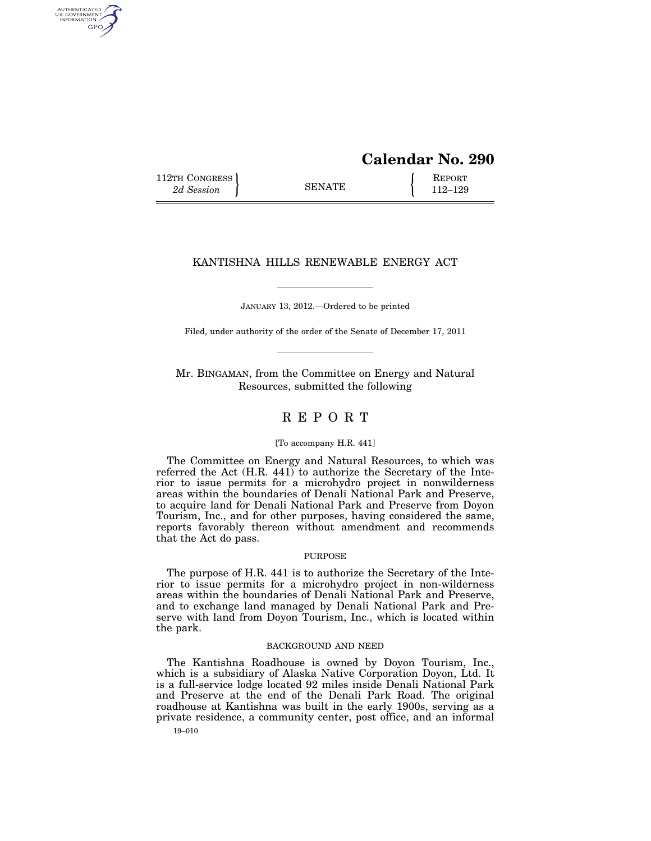# **Calendar No. 290**

112TH CONGRESS **REPORT** 2d Session **112–129** 

AUTHENTICATED<br>U.S. GOVERNMENT<br>INFORMATION GPO

## KANTISHNA HILLS RENEWABLE ENERGY ACT

JANUARY 13, 2012.—Ordered to be printed

Filed, under authority of the order of the Senate of December 17, 2011

Mr. BINGAMAN, from the Committee on Energy and Natural Resources, submitted the following

## R E P O R T

## [To accompany H.R. 441]

The Committee on Energy and Natural Resources, to which was referred the Act (H.R. 441) to authorize the Secretary of the Interior to issue permits for a microhydro project in nonwilderness areas within the boundaries of Denali National Park and Preserve, to acquire land for Denali National Park and Preserve from Doyon Tourism, Inc., and for other purposes, having considered the same, reports favorably thereon without amendment and recommends that the Act do pass.

### PURPOSE

The purpose of H.R. 441 is to authorize the Secretary of the Interior to issue permits for a microhydro project in non-wilderness areas within the boundaries of Denali National Park and Preserve, and to exchange land managed by Denali National Park and Preserve with land from Doyon Tourism, Inc., which is located within the park.

## BACKGROUND AND NEED

The Kantishna Roadhouse is owned by Doyon Tourism, Inc., which is a subsidiary of Alaska Native Corporation Doyon, Ltd. It is a full-service lodge located 92 miles inside Denali National Park and Preserve at the end of the Denali Park Road. The original roadhouse at Kantishna was built in the early 1900s, serving as a private residence, a community center, post office, and an informal

19–010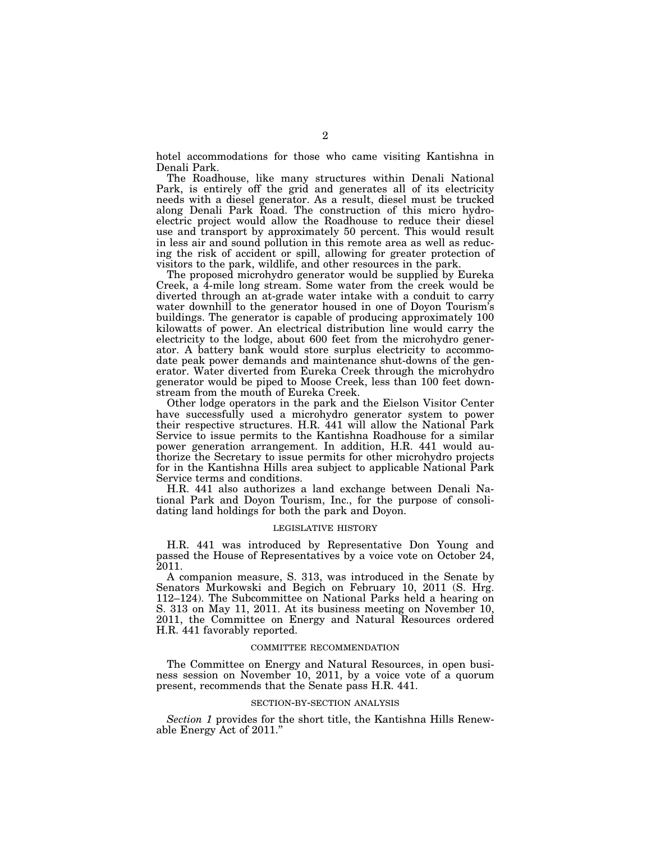hotel accommodations for those who came visiting Kantishna in Denali Park.

The Roadhouse, like many structures within Denali National Park, is entirely off the grid and generates all of its electricity needs with a diesel generator. As a result, diesel must be trucked along Denali Park Road. The construction of this micro hydroelectric project would allow the Roadhouse to reduce their diesel use and transport by approximately 50 percent. This would result in less air and sound pollution in this remote area as well as reducing the risk of accident or spill, allowing for greater protection of visitors to the park, wildlife, and other resources in the park.

The proposed microhydro generator would be supplied by Eureka Creek, a 4-mile long stream. Some water from the creek would be diverted through an at-grade water intake with a conduit to carry water downhill to the generator housed in one of Doyon Tourism's buildings. The generator is capable of producing approximately 100 kilowatts of power. An electrical distribution line would carry the electricity to the lodge, about 600 feet from the microhydro generator. A battery bank would store surplus electricity to accommodate peak power demands and maintenance shut-downs of the generator. Water diverted from Eureka Creek through the microhydro generator would be piped to Moose Creek, less than 100 feet downstream from the mouth of Eureka Creek.

Other lodge operators in the park and the Eielson Visitor Center have successfully used a microhydro generator system to power their respective structures. H.R. 441 will allow the National Park Service to issue permits to the Kantishna Roadhouse for a similar power generation arrangement. In addition, H.R. 441 would authorize the Secretary to issue permits for other microhydro projects for in the Kantishna Hills area subject to applicable National Park Service terms and conditions.

H.R. 441 also authorizes a land exchange between Denali National Park and Doyon Tourism, Inc., for the purpose of consolidating land holdings for both the park and Doyon.

## LEGISLATIVE HISTORY

H.R. 441 was introduced by Representative Don Young and passed the House of Representatives by a voice vote on October 24, 2011.

A companion measure, S. 313, was introduced in the Senate by Senators Murkowski and Begich on February 10, 2011 (S. Hrg. 112–124). The Subcommittee on National Parks held a hearing on S. 313 on May 11, 2011. At its business meeting on November 10, 2011, the Committee on Energy and Natural Resources ordered H.R. 441 favorably reported.

#### COMMITTEE RECOMMENDATION

The Committee on Energy and Natural Resources, in open business session on November 10, 2011, by a voice vote of a quorum present, recommends that the Senate pass H.R. 441.

#### SECTION-BY-SECTION ANALYSIS

*Section 1* provides for the short title, the Kantishna Hills Renewable Energy Act of 2011.''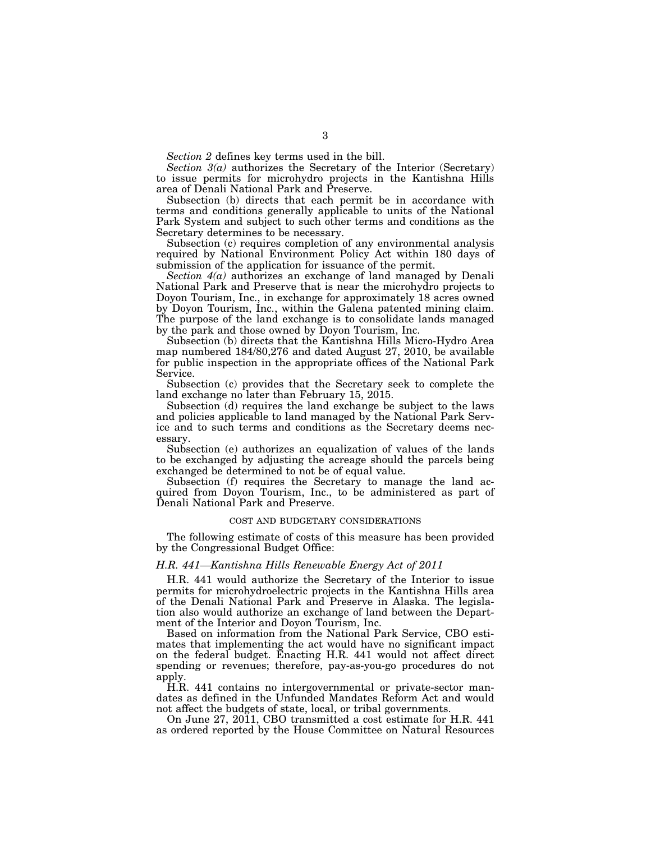*Section 2* defines key terms used in the bill.

*Section 3(a)* authorizes the Secretary of the Interior (Secretary) to issue permits for microhydro projects in the Kantishna Hills area of Denali National Park and Preserve.

Subsection (b) directs that each permit be in accordance with terms and conditions generally applicable to units of the National Park System and subject to such other terms and conditions as the Secretary determines to be necessary.

Subsection (c) requires completion of any environmental analysis required by National Environment Policy Act within 180 days of submission of the application for issuance of the permit.

*Section 4(a)* authorizes an exchange of land managed by Denali National Park and Preserve that is near the microhydro projects to Doyon Tourism, Inc., in exchange for approximately 18 acres owned by Doyon Tourism, Inc., within the Galena patented mining claim. The purpose of the land exchange is to consolidate lands managed by the park and those owned by Doyon Tourism, Inc.

Subsection (b) directs that the Kantishna Hills Micro-Hydro Area map numbered 184/80,276 and dated August 27, 2010, be available for public inspection in the appropriate offices of the National Park Service.

Subsection (c) provides that the Secretary seek to complete the land exchange no later than February 15, 2015.

Subsection (d) requires the land exchange be subject to the laws and policies applicable to land managed by the National Park Service and to such terms and conditions as the Secretary deems necessary.

Subsection (e) authorizes an equalization of values of the lands to be exchanged by adjusting the acreage should the parcels being exchanged be determined to not be of equal value.

Subsection (f) requires the Secretary to manage the land acquired from Doyon Tourism, Inc., to be administered as part of Denali National Park and Preserve.

#### COST AND BUDGETARY CONSIDERATIONS

The following estimate of costs of this measure has been provided by the Congressional Budget Office:

### *H.R. 441—Kantishna Hills Renewable Energy Act of 2011*

H.R. 441 would authorize the Secretary of the Interior to issue permits for microhydroelectric projects in the Kantishna Hills area of the Denali National Park and Preserve in Alaska. The legislation also would authorize an exchange of land between the Department of the Interior and Doyon Tourism, Inc.

Based on information from the National Park Service, CBO estimates that implementing the act would have no significant impact on the federal budget. Enacting H.R. 441 would not affect direct spending or revenues; therefore, pay-as-you-go procedures do not apply.

H.R. 441 contains no intergovernmental or private-sector mandates as defined in the Unfunded Mandates Reform Act and would not affect the budgets of state, local, or tribal governments.

On June 27, 2011, CBO transmitted a cost estimate for H.R. 441 as ordered reported by the House Committee on Natural Resources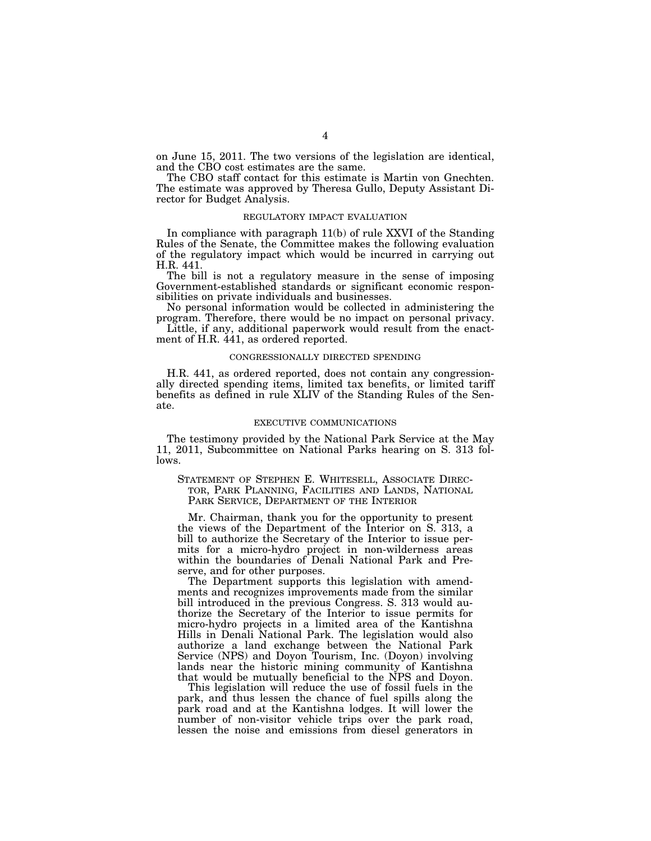on June 15, 2011. The two versions of the legislation are identical, and the CBO cost estimates are the same.

The CBO staff contact for this estimate is Martin von Gnechten. The estimate was approved by Theresa Gullo, Deputy Assistant Director for Budget Analysis.

## REGULATORY IMPACT EVALUATION

In compliance with paragraph 11(b) of rule XXVI of the Standing Rules of the Senate, the Committee makes the following evaluation of the regulatory impact which would be incurred in carrying out H.R. 441.

The bill is not a regulatory measure in the sense of imposing Government-established standards or significant economic responsibilities on private individuals and businesses.

No personal information would be collected in administering the program. Therefore, there would be no impact on personal privacy.

Little, if any, additional paperwork would result from the enactment of H.R. 441, as ordered reported.

### CONGRESSIONALLY DIRECTED SPENDING

H.R. 441, as ordered reported, does not contain any congressionally directed spending items, limited tax benefits, or limited tariff benefits as defined in rule XLIV of the Standing Rules of the Senate.

#### EXECUTIVE COMMUNICATIONS

The testimony provided by the National Park Service at the May 11, 2011, Subcommittee on National Parks hearing on S. 313 follows.

## STATEMENT OF STEPHEN E. WHITESELL, ASSOCIATE DIREC-TOR, PARK PLANNING, FACILITIES AND LANDS, NATIONAL PARK SERVICE, DEPARTMENT OF THE INTERIOR

Mr. Chairman, thank you for the opportunity to present the views of the Department of the Interior on S. 313, a bill to authorize the Secretary of the Interior to issue permits for a micro-hydro project in non-wilderness areas within the boundaries of Denali National Park and Preserve, and for other purposes.

The Department supports this legislation with amendments and recognizes improvements made from the similar bill introduced in the previous Congress. S. 313 would authorize the Secretary of the Interior to issue permits for micro-hydro projects in a limited area of the Kantishna Hills in Denali National Park. The legislation would also authorize a land exchange between the National Park Service (NPS) and Doyon Tourism, Inc. (Doyon) involving lands near the historic mining community of Kantishna that would be mutually beneficial to the NPS and Doyon.

This legislation will reduce the use of fossil fuels in the park, and thus lessen the chance of fuel spills along the park road and at the Kantishna lodges. It will lower the number of non-visitor vehicle trips over the park road, lessen the noise and emissions from diesel generators in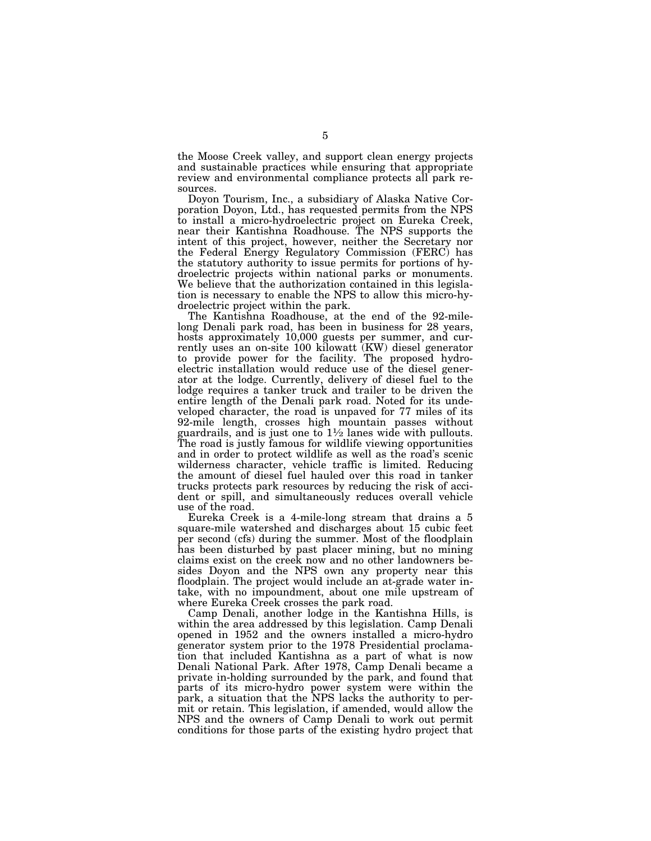the Moose Creek valley, and support clean energy projects and sustainable practices while ensuring that appropriate review and environmental compliance protects all park resources.

Doyon Tourism, Inc., a subsidiary of Alaska Native Corporation Doyon, Ltd., has requested permits from the NPS to install a micro-hydroelectric project on Eureka Creek, near their Kantishna Roadhouse. The NPS supports the intent of this project, however, neither the Secretary nor the Federal Energy Regulatory Commission (FERC) has the statutory authority to issue permits for portions of hydroelectric projects within national parks or monuments. We believe that the authorization contained in this legislation is necessary to enable the NPS to allow this micro-hydroelectric project within the park.

The Kantishna Roadhouse, at the end of the 92-milelong Denali park road, has been in business for 28 years, hosts approximately 10,000 guests per summer, and currently uses an on-site 100 kilowatt (KW) diesel generator to provide power for the facility. The proposed hydroelectric installation would reduce use of the diesel generator at the lodge. Currently, delivery of diesel fuel to the lodge requires a tanker truck and trailer to be driven the entire length of the Denali park road. Noted for its undeveloped character, the road is unpaved for 77 miles of its 92-mile length, crosses high mountain passes without guardrails, and is just one to  $1\frac{1}{2}$  lanes wide with pullouts. The road is justly famous for wildlife viewing opportunities and in order to protect wildlife as well as the road's scenic wilderness character, vehicle traffic is limited. Reducing the amount of diesel fuel hauled over this road in tanker trucks protects park resources by reducing the risk of accident or spill, and simultaneously reduces overall vehicle use of the road.

Eureka Creek is a 4-mile-long stream that drains a 5 square-mile watershed and discharges about 15 cubic feet per second (cfs) during the summer. Most of the floodplain has been disturbed by past placer mining, but no mining claims exist on the creek now and no other landowners besides Doyon and the NPS own any property near this floodplain. The project would include an at-grade water intake, with no impoundment, about one mile upstream of where Eureka Creek crosses the park road.

Camp Denali, another lodge in the Kantishna Hills, is within the area addressed by this legislation. Camp Denali opened in 1952 and the owners installed a micro-hydro generator system prior to the 1978 Presidential proclamation that included Kantishna as a part of what is now Denali National Park. After 1978, Camp Denali became a private in-holding surrounded by the park, and found that parts of its micro-hydro power system were within the park, a situation that the NPS lacks the authority to permit or retain. This legislation, if amended, would allow the NPS and the owners of Camp Denali to work out permit conditions for those parts of the existing hydro project that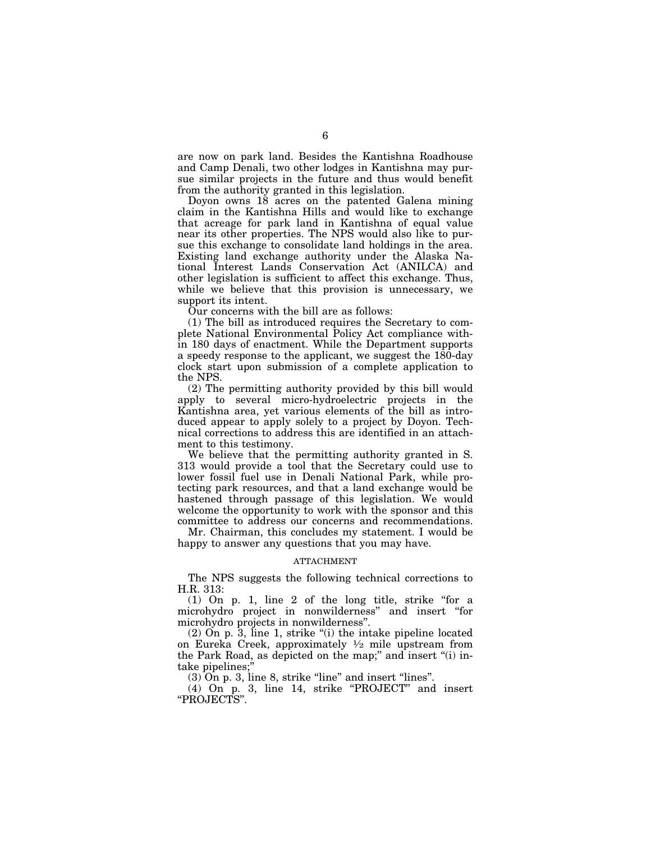are now on park land. Besides the Kantishna Roadhouse and Camp Denali, two other lodges in Kantishna may pursue similar projects in the future and thus would benefit from the authority granted in this legislation.

Doyon owns 18 acres on the patented Galena mining claim in the Kantishna Hills and would like to exchange that acreage for park land in Kantishna of equal value near its other properties. The NPS would also like to pursue this exchange to consolidate land holdings in the area. Existing land exchange authority under the Alaska National Interest Lands Conservation Act (ANILCA) and other legislation is sufficient to affect this exchange. Thus, while we believe that this provision is unnecessary, we support its intent.

Our concerns with the bill are as follows:

(1) The bill as introduced requires the Secretary to complete National Environmental Policy Act compliance within 180 days of enactment. While the Department supports a speedy response to the applicant, we suggest the 180-day clock start upon submission of a complete application to the NPS.

(2) The permitting authority provided by this bill would apply to several micro-hydroelectric projects in the Kantishna area, yet various elements of the bill as introduced appear to apply solely to a project by Doyon. Technical corrections to address this are identified in an attachment to this testimony.

We believe that the permitting authority granted in S. 313 would provide a tool that the Secretary could use to lower fossil fuel use in Denali National Park, while protecting park resources, and that a land exchange would be hastened through passage of this legislation. We would welcome the opportunity to work with the sponsor and this committee to address our concerns and recommendations.

Mr. Chairman, this concludes my statement. I would be happy to answer any questions that you may have.

#### ATTACHMENT

The NPS suggests the following technical corrections to H.R. 313:

 $(1)$  On p. 1, line 2 of the long title, strike "for a microhydro project in nonwilderness'' and insert ''for microhydro projects in nonwilderness''.

 $(2)$  On p. 3, line 1, strike " $(i)$  the intake pipeline located on Eureka Creek, approximately  $\frac{1}{2}$  mile upstream from the Park Road, as depicted on the map;'' and insert ''(i) intake pipelines;''

 $(3)$  On p. 3, line 8, strike "line" and insert "lines".

(4) On p. 3, line 14, strike ''PROJECT'' and insert ''PROJECTS''.